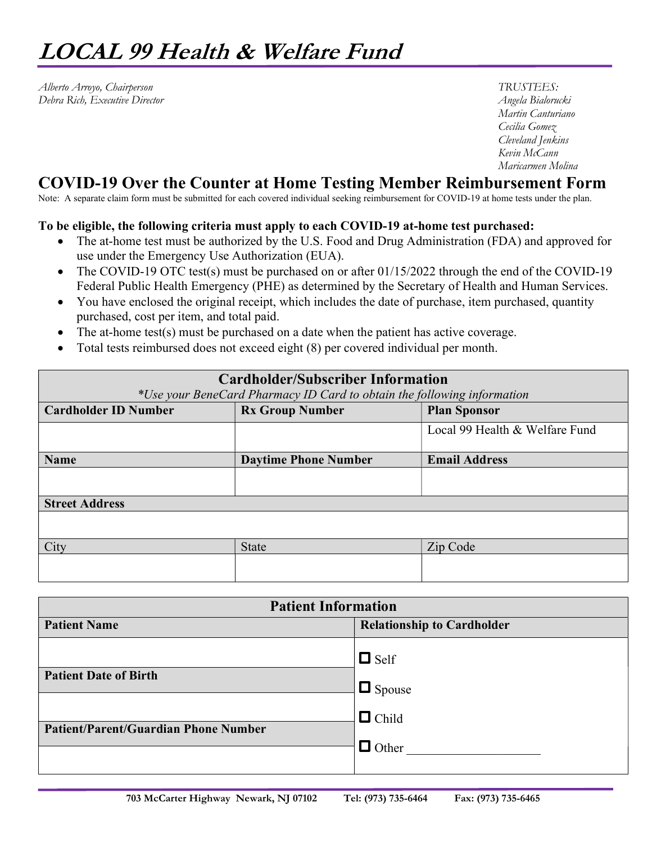Alberto Arroyo, Chairperson TRUSTEES: Debra Rich, Executive Director **Angela Bialorucki** 

 Martin Canturiano Cecilia Gomez Cleveland Jenkins Kevin McCann Maricarmen Molina

## COVID-19 Over the Counter at Home Testing Member Reimbursement Form

Note: A separate claim form must be submitted for each covered individual seeking reimbursement for COVID-19 at home tests under the plan.

## To be eligible, the following criteria must apply to each COVID-19 at-home test purchased:

- The at-home test must be authorized by the U.S. Food and Drug Administration (FDA) and approved for use under the Emergency Use Authorization (EUA).
- The COVID-19 OTC test(s) must be purchased on or after 01/15/2022 through the end of the COVID-19 Federal Public Health Emergency (PHE) as determined by the Secretary of Health and Human Services.
- You have enclosed the original receipt, which includes the date of purchase, item purchased, quantity purchased, cost per item, and total paid.
- The at-home test(s) must be purchased on a date when the patient has active coverage.
- Total tests reimbursed does not exceed eight (8) per covered individual per month.

| <b>Cardholder/Subscriber Information</b><br>*Use your BeneCard Pharmacy ID Card to obtain the following information |                             |                                |
|---------------------------------------------------------------------------------------------------------------------|-----------------------------|--------------------------------|
|                                                                                                                     |                             |                                |
|                                                                                                                     |                             | Local 99 Health & Welfare Fund |
| <b>Name</b>                                                                                                         | <b>Daytime Phone Number</b> | <b>Email Address</b>           |
|                                                                                                                     |                             |                                |
| <b>Street Address</b>                                                                                               |                             |                                |
|                                                                                                                     |                             |                                |
| City                                                                                                                | <b>State</b>                | Zip Code                       |
|                                                                                                                     |                             |                                |

| <b>Patient Information</b>                  |                                   |  |
|---------------------------------------------|-----------------------------------|--|
| <b>Patient Name</b>                         | <b>Relationship to Cardholder</b> |  |
| <b>Patient Date of Birth</b>                | $\Box$ Self<br>$\Box$ Spouse      |  |
| <b>Patient/Parent/Guardian Phone Number</b> | $\Box$ Child<br>$\Box$ Other      |  |